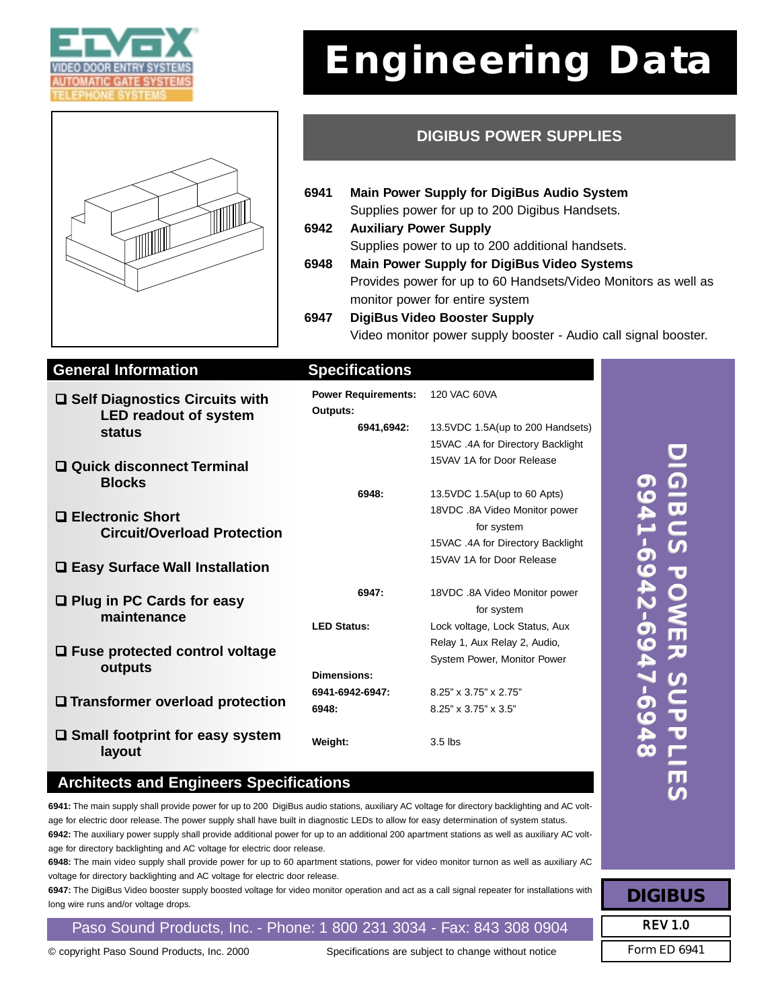



# **Engineering Data**

## **DIGIBUS POWER SUPPLIES**

- **6941 Main Power Supply for DigiBus Audio System** Supplies power for up to 200 Digibus Handsets.
- **6942 Auxiliary Power Supply** Supplies power to up to 200 additional handsets. **6948 Main Power Supply for DigiBus Video Systems**
	- Provides power for up to 60 Handsets/Video Monitors as well as monitor power for entire system
- **6947 DigiBus Video Booster Supply** Video monitor power supply booster - Audio call signal booster.

#### **General Information Specifications**

| <b>□ Self Diagnostics Circuits with</b><br><b>LED readout of system</b><br><b>status</b> | <b>Power Requirements:</b><br>Outputs: | 120 VAC 60VA                                                                     |  |
|------------------------------------------------------------------------------------------|----------------------------------------|----------------------------------------------------------------------------------|--|
|                                                                                          | 6941,6942:                             | 13.5VDC 1.5A(up to 200 Handsets)                                                 |  |
|                                                                                          |                                        | 15VAC .4A for Directory Backlight                                                |  |
| $\Box$ Quick disconnect Terminal<br><b>Blocks</b>                                        |                                        | 15VAV 1A for Door Release                                                        |  |
|                                                                                          | 6948:                                  | 13.5 VDC 1.5A (up to 60 Apts)                                                    |  |
| □ Electronic Short<br><b>Circuit/Overload Protection</b>                                 |                                        | 18VDC .8A Video Monitor power<br>for system<br>15VAC .4A for Directory Backlight |  |
| □ Easy Surface Wall Installation                                                         |                                        | 15VAV 1A for Door Release                                                        |  |
| $\Box$ Plug in PC Cards for easy<br>maintenance                                          | 6947:                                  | 18VDC .8A Video Monitor power<br>for system                                      |  |
|                                                                                          | <b>LED Status:</b>                     | Lock voltage, Lock Status, Aux                                                   |  |
| $\Box$ Fuse protected control voltage<br>outputs                                         |                                        | Relay 1, Aux Relay 2, Audio,                                                     |  |
|                                                                                          |                                        | System Power, Monitor Power                                                      |  |
|                                                                                          | Dimensions:                            |                                                                                  |  |
| □ Transformer overload protection                                                        | 6941-6942-6947:                        | 8.25" x 3.75" x 2.75"                                                            |  |
|                                                                                          | 6948:                                  | 8.25" x 3.75" x 3.5"                                                             |  |
| $\square$ Small footprint for easy system<br>layout                                      | Weight:                                | $3.5$ lbs                                                                        |  |

### **Architects and Engineers Specifications**

**6941:** The main supply shall provide power for up to 200 DigiBus audio stations, auxiliary AC voltage for directory backlighting and AC voltage for electric door release. The power supply shall have built in diagnostic LEDs to allow for easy determination of system status. **6942:** The auxiliary power supply shall provide additional power for up to an additional 200 apartment stations as well as auxiliary AC voltage for directory backlighting and AC voltage for electric door release.

**6948:** The main video supply shall provide power for up to 60 apartment stations, power for video monitor turnon as well as auxiliary AC voltage for directory backlighting and AC voltage for electric door release.

**6947:** The DigiBus Video booster supply boosted voltage for video monitor operation and act as a call signal repeater for installations with long wire runs and/or voltage drops.

Paso Sound Products, Inc. - Phone: 1 800 231 3034 - Fax: 843 308 0904

© copyright Paso Sound Products, Inc. 2000 Specifications are subject to change without notice Form ED 6941

DIGIB  $\overline{ }$ ဟ<br>T  $\cap$ W E ス<br>C O  $\subset$ TT.  $\overline{\phantom{a}}$ L<br>E ( N DIGIB  $\overline{\phantom{0}}$ ဟ<br>T O  $\leq$ E ス<br>C C  $\overline{\phantom{0}}$  $\overline{\mathbf{P}}$  $\overline{\mathbf{P}}$ LIE  $\overline{C}$  $\Omega$ 50 4 ہے<br>0-50 4 ى<br>م **NO** 4 ا<br>م 50 4 00 <u>ດ</u>  $\Omega$  $\blacktriangleright$ 1-6  $\Omega$  $\blacktriangleright$ )<br>ጉ<br>ሰ  $\Omega$  $\blacktriangle$ <u>ہے۔</u><br>م  $\Omega$  $\blacktriangleright$ იი

**DIGIBUS**

REV 1.0